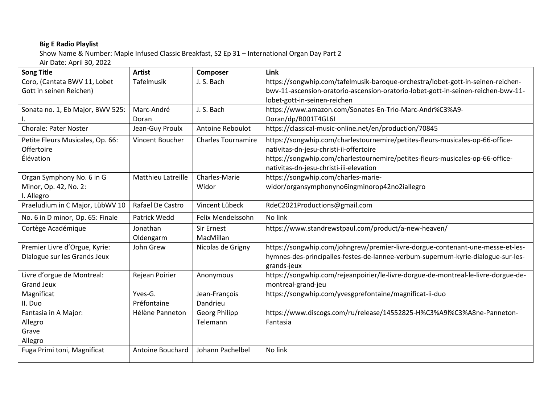## **Big E Radio Playlist**

Show Name & Number: Maple Infused Classic Breakfast, S2 Ep 31 – International Organ Day Part 2

Air Date: April 30, 2022

| <b>Song Title</b>                | <b>Artist</b>      | Composer                  | Link                                                                               |
|----------------------------------|--------------------|---------------------------|------------------------------------------------------------------------------------|
| Coro, (Cantata BWV 11, Lobet     | <b>Tafelmusik</b>  | J. S. Bach                | https://songwhip.com/tafelmusik-baroque-orchestra/lobet-gott-in-seinen-reichen-    |
| Gott in seinen Reichen)          |                    |                           | bwv-11-ascension-oratorio-ascension-oratorio-lobet-gott-in-seinen-reichen-bwv-11-  |
|                                  |                    |                           | lobet-gott-in-seinen-reichen                                                       |
| Sonata no. 1, Eb Major, BWV 525: | Marc-André         | J. S. Bach                | https://www.amazon.com/Sonates-En-Trio-Marc-Andr%C3%A9-                            |
|                                  | Doran              |                           | Doran/dp/B001T4GL6I                                                                |
| <b>Chorale: Pater Noster</b>     | Jean-Guy Proulx    | Antoine Reboulot          | https://classical-music-online.net/en/production/70845                             |
| Petite Fleurs Musicales, Op. 66: | Vincent Boucher    | <b>Charles Tournamire</b> | https://songwhip.com/charlestournemire/petites-fleurs-musicales-op-66-office-      |
| Offertoire                       |                    |                           | nativitas-dn-jesu-christi-ii-offertoire                                            |
| Élévation                        |                    |                           | https://songwhip.com/charlestournemire/petites-fleurs-musicales-op-66-office-      |
|                                  |                    |                           | nativitas-dn-jesu-christi-iii-elevation                                            |
| Organ Symphony No. 6 in G        | Matthieu Latreille | Charles-Marie             | https://songwhip.com/charles-marie-                                                |
| Minor, Op. 42, No. 2:            |                    | Widor                     | widor/organsymphonyno6ingminorop42no2iallegro                                      |
| I. Allegro                       |                    |                           |                                                                                    |
| Praeludium in C Major, LübWV 10  | Rafael De Castro   | Vincent Lübeck            | RdeC2021Productions@gmail.com                                                      |
| No. 6 in D minor, Op. 65: Finale | Patrick Wedd       | Felix Mendelssohn         | No link                                                                            |
| Cortège Académique               | Jonathan           | <b>Sir Ernest</b>         | https://www.standrewstpaul.com/product/a-new-heaven/                               |
|                                  | Oldengarm          | MacMillan                 |                                                                                    |
| Premier Livre d'Orgue, Kyrie:    | John Grew          | Nicolas de Grigny         | https://songwhip.com/johngrew/premier-livre-dorgue-contenant-une-messe-et-les-     |
| Dialogue sur les Grands Jeux     |                    |                           | hymnes-des-principalles-festes-de-lannee-verbum-supernum-kyrie-dialogue-sur-les-   |
|                                  |                    |                           | grands-jeux                                                                        |
| Livre d'orgue de Montreal:       | Rejean Poirier     | Anonymous                 | https://songwhip.com/rejeanpoirier/le-livre-dorgue-de-montreal-le-livre-dorgue-de- |
| <b>Grand Jeux</b>                |                    |                           | montreal-grand-jeu                                                                 |
| Magnificat                       | Yves-G.            | Jean-François             | https://songwhip.com/yvesgprefontaine/magnificat-ii-duo                            |
| II. Duo                          | Préfontaine        | Dandrieu                  |                                                                                    |
| Fantasia in A Major:             | Hélène Panneton    | <b>Georg Philipp</b>      | https://www.discogs.com/ru/release/14552825-H%C3%A9l%C3%A8ne-Panneton-             |
| Allegro                          |                    | Telemann                  | Fantasia                                                                           |
| Grave                            |                    |                           |                                                                                    |
| Allegro                          |                    |                           |                                                                                    |
| Fuga Primi toni, Magnificat      | Antoine Bouchard   | Johann Pachelbel          | No link                                                                            |
|                                  |                    |                           |                                                                                    |